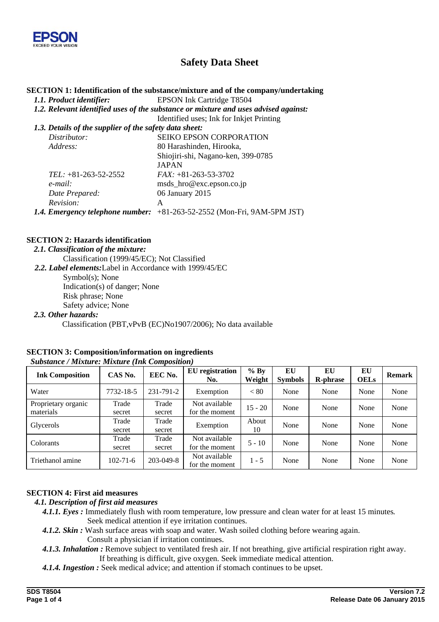

## **Safety Data Sheet**

#### **SECTION 1: Identification of the substance/mixture and of the company/undertaking**

*1.1. Product identifier:* EPSON Ink Cartridge T8504

*1.2. Relevant identified uses of the substance or mixture and uses advised against:* 

Identified uses; Ink for Inkjet Printing

| 1.3. Details of the supplier of the safety data sheet:                  |
|-------------------------------------------------------------------------|
| <b>SEIKO EPSON CORPORATION</b>                                          |
| 80 Harashinden, Hirooka,                                                |
| Shiojiri-shi, Nagano-ken, 399-0785                                      |
| <b>JAPAN</b>                                                            |
| $FAX: +81-263-53-3702$                                                  |
| msds_hro@exc.epson.co.jp                                                |
| 06 January 2015                                                         |
| А                                                                       |
| 1.4. Emergency telephone number: +81-263-52-2552 (Mon-Fri, 9AM-5PM JST) |
|                                                                         |

## **SECTION 2: Hazards identification**

- *2.1. Classification of the mixture:* 
	- Classification (1999/45/EC); Not Classified

*2.2. Label elements:*Label in Accordance with 1999/45/EC

Symbol(s); None Indication(s) of danger; None Risk phrase; None Safety advice; None

## *2.3. Other hazards:* Classification (PBT,vPvB (EC)No1907/2006); No data available

| Substance / Mixiure, Mixiure (Ink Composition)<br><b>Ink Composition</b> | CAS No.         | EEC No.         | EU registration<br>No.          | $%$ By<br>Weight | EU<br><b>Symbols</b> | EU<br><b>R-phrase</b> | EU<br><b>OELs</b> | <b>Remark</b> |
|--------------------------------------------------------------------------|-----------------|-----------------|---------------------------------|------------------|----------------------|-----------------------|-------------------|---------------|
| Water                                                                    | 7732-18-5       | 231-791-2       | Exemption                       | < 80             | None                 | None                  | None              | None          |
| Proprietary organic<br>materials                                         | Trade<br>secret | Trade<br>secret | Not available<br>for the moment | $15 - 20$        | None                 | None                  | None              | None          |
| Glycerols                                                                | Trade<br>secret | Trade<br>secret | Exemption                       | About<br>10      | None                 | None                  | None              | None          |
| Colorants                                                                | Trade<br>secret | Trade<br>secret | Not available<br>for the moment | $5 - 10$         | None                 | None                  | None              | None          |
| Triethanol amine                                                         | $102 - 71 - 6$  | 203-049-8       | Not available<br>for the moment | $1 - 5$          | None                 | None                  | None              | None          |

#### **SECTION 3: Composition/information on ingredients**   *Substance / Mixture: Mixture (Ink Composition)*

## **SECTION 4: First aid measures**

#### *4.1. Description of first aid measures*

*4.1.1. Eyes :* Immediately flush with room temperature, low pressure and clean water for at least 15 minutes*.*  Seek medical attention if eye irritation continues.

- *4.1.2. Skin :* Wash surface areas with soap and water. Wash soiled clothing before wearing again. Consult a physician if irritation continues.
- *4.1.3. Inhalation :* Remove subject to ventilated fresh air. If not breathing, give artificial respiration right away. If breathing is difficult, give oxygen. Seek immediate medical attention.
- *4.1.4. Ingestion :* Seek medical advice; and attention if stomach continues to be upset.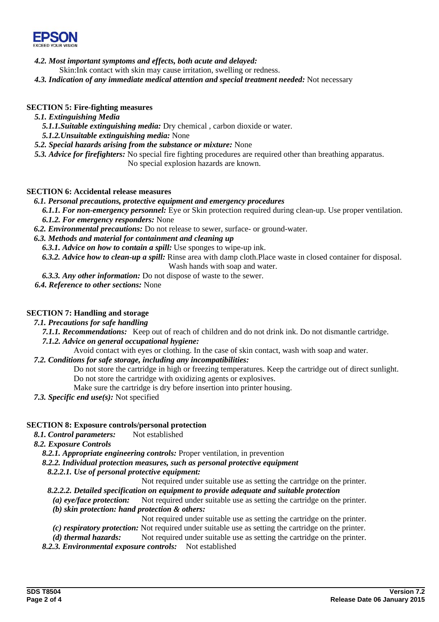

- *4.2. Most important symptoms and effects, both acute and delayed:*
	- Skin:Ink contact with skin may cause irritation, swelling or redness.
- *4.3. Indication of any immediate medical attention and special treatment needed:* Not necessary

## **SECTION 5: Fire-fighting measures**

## *5.1. Extinguishing Media*

- *5.1.1.Suitable extinguishing media:* Dry chemical , carbon dioxide or water.
- *5.1.2.Unsuitable extinguishing media:* None
- *5.2. Special hazards arising from the substance or mixture:* None
- *5.3. Advice for firefighters:* No special fire fighting procedures are required other than breathing apparatus. No special explosion hazards are known.

## **SECTION 6: Accidental release measures**

## *6.1. Personal precautions, protective equipment and emergency procedures*

*6.1.1. For non-emergency personnel:* Eye or Skin protection required during clean-up. Use proper ventilation. *6.1.2. For emergency responders:* None

*6.2. Environmental precautions:* Do not release to sewer, surface- or ground-water.

## *6.3. Methods and material for containment and cleaning up*

*6.3.1. Advice on how to contain a spill:* Use sponges to wipe-up ink.

*6.3.2. Advice how to clean-up a spill:* Rinse area with damp cloth.Place waste in closed container for disposal. Wash hands with soap and water.

*6.3.3. Any other information:* Do not dispose of waste to the sewer.

*6.4. Reference to other sections:* None

## **SECTION 7: Handling and storage**

*7.1. Precautions for safe handling* 

*7.1.1. Recommendations:* Keep out of reach of children and do not drink ink. Do not dismantle cartridge.

## *7.1.2. Advice on general occupational hygiene:*

Avoid contact with eyes or clothing. In the case of skin contact, wash with soap and water.

## *7.2. Conditions for safe storage, including any incompatibilities:*

Do not store the cartridge in high or freezing temperatures. Keep the cartridge out of direct sunlight. Do not store the cartridge with oxidizing agents or explosives.

- Make sure the cartridge is dry before insertion into printer housing.
- *7.3. Specific end use(s):* Not specified

## **SECTION 8: Exposure controls/personal protection**

*8.1. Control parameters:* Not established

*8.2. Exposure Controls* 

*8.2.1. Appropriate engineering controls:* Proper ventilation, in prevention

## *8.2.2. Individual protection measures, such as personal protective equipment*

*8.2.2.1. Use of personal protective equipment:* 

Not required under suitable use as setting the cartridge on the printer.

- *8.2.2.2. Detailed specification on equipment to provide adequate and suitable protection*
- *(a) eye/face protection:* Not required under suitable use as setting the cartridge on the printer. *(b) skin protection: hand protection & others:* 
	- Not required under suitable use as setting the cartridge on the printer.
- *(c) respiratory protection:* Not required under suitable use as setting the cartridge on the printer.
- *(d) thermal hazards:* Not required under suitable use as setting the cartridge on the printer.
- *8.2.3. Environmental exposure controls:* Not established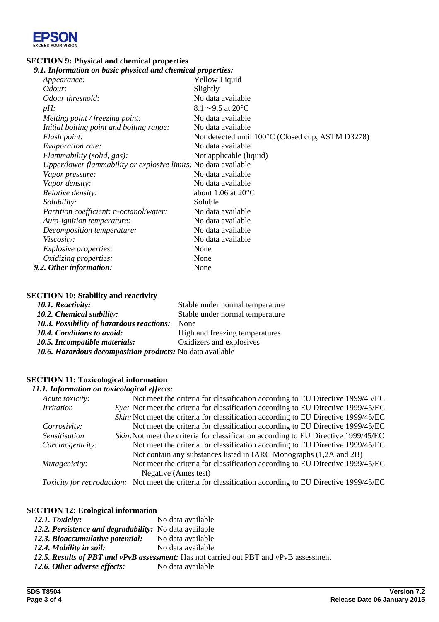

# **SECTION 9: Physical and chemical properties**<br>9.1. Information on basic physical and chemic

| 9.1. Information on basic physical and chemical properties:     |                                                   |
|-----------------------------------------------------------------|---------------------------------------------------|
| Appearance:                                                     | <b>Yellow Liquid</b>                              |
| Odour:                                                          | Slightly                                          |
| Odour threshold:                                                | No data available                                 |
| $pH$ :                                                          | $8.1 \sim 9.5$ at 20°C                            |
| Melting point / freezing point:                                 | No data available                                 |
| Initial boiling point and boiling range:                        | No data available                                 |
| Flash point:                                                    | Not detected until 100°C (Closed cup, ASTM D3278) |
| Evaporation rate:                                               | No data available                                 |
| Flammability (solid, gas):                                      | Not applicable (liquid)                           |
| Upper/lower flammability or explosive limits: No data available |                                                   |
| Vapor pressure:                                                 | No data available                                 |
| Vapor density:                                                  | No data available                                 |
| Relative density:                                               | about 1.06 at $20^{\circ}$ C                      |
| Solubility:                                                     | Soluble                                           |
| Partition coefficient: n-octanol/water:                         | No data available                                 |
| Auto-ignition temperature:                                      | No data available                                 |
| Decomposition temperature:                                      | No data available                                 |
| <i>Viscosity:</i>                                               | No data available                                 |
| <i>Explosive properties:</i>                                    | None                                              |
| Oxidizing properties:                                           | None                                              |
| 9.2. Other information:                                         | None                                              |

## **SECTION 10: Stability and reactivity**

| 10.1. Reactivity:                                         | Stable under normal temperature |
|-----------------------------------------------------------|---------------------------------|
| 10.2. Chemical stability:                                 | Stable under normal temperature |
| 10.3. Possibility of hazardous reactions:                 | None                            |
| 10.4. Conditions to avoid:                                | High and freezing temperatures  |
| 10.5. Incompatible materials:                             | Oxidizers and explosives        |
| 10.6. Hazardous decomposition products: No data available |                                 |

## **SECTION 11: Toxicological information**

## *11.1. Information on toxicological effects:*

| Acute toxicity:      | Not meet the criteria for classification according to EU Directive 1999/45/EC                            |
|----------------------|----------------------------------------------------------------------------------------------------------|
| <b>Irritation</b>    | <i>Eye:</i> Not meet the criteria for classification according to EU Directive 1999/45/EC                |
|                      | Skin: Not meet the criteria for classification according to EU Directive 1999/45/EC                      |
| Corrosivity:         | Not meet the criteria for classification according to EU Directive 1999/45/EC                            |
| <b>Sensitisation</b> | Skin: Not meet the criteria for classification according to EU Directive 1999/45/EC                      |
| Carcinogenicity:     | Not meet the criteria for classification according to EU Directive 1999/45/EC                            |
|                      | Not contain any substances listed in IARC Monographs (1,2A and 2B)                                       |
| Mutagenicity:        | Not meet the criteria for classification according to EU Directive 1999/45/EC                            |
|                      | Negative (Ames test)                                                                                     |
|                      | Toxicity for reproduction: Not meet the criteria for classification according to EU Directive 1999/45/EC |

## **SECTION 12: Ecological information**

| 12.1. Toxicity:                                                                       | No data available |  |
|---------------------------------------------------------------------------------------|-------------------|--|
| 12.2. Persistence and degradability: No data available                                |                   |  |
| 12.3. Bioaccumulative potential: No data available                                    |                   |  |
| 12.4. Mobility in soil:                                                               | No data available |  |
| 12.5. Results of PBT and vPvB assessment: Has not carried out PBT and vPvB assessment |                   |  |
| 12.6. Other adverse effects:                                                          | No data available |  |
|                                                                                       |                   |  |